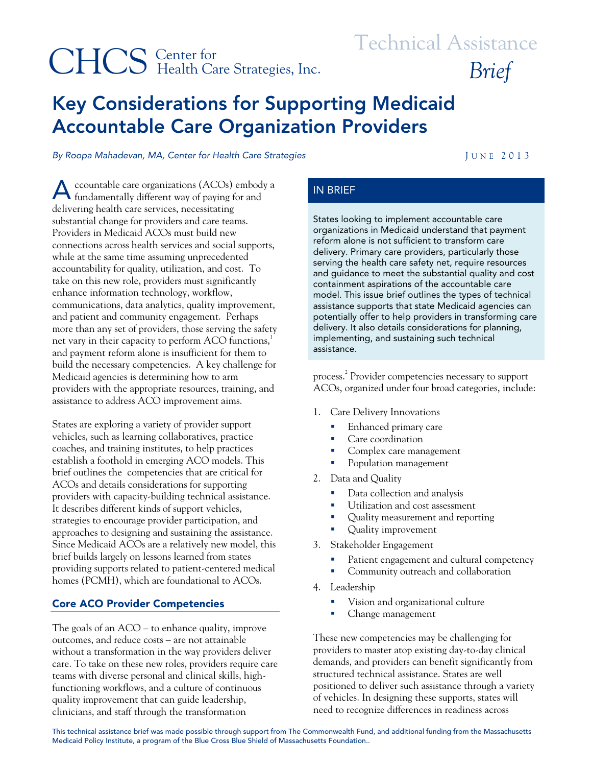# CHCS Center for Brief Health Care Strategies, Inc. Brief

# Center for Technical Assistance

# Key Considerations for Supporting Medicaid Accountable Care Organization Providers

By Roopa Mahadevan, MA, Center for Health Care Strategies **JUNE 2013** 

ccountable care organizations (ACOs) embody a A ccountable care organizations (ACOs) embody a 
IN BRIEF delivering health care services, necessitating substantial change for providers and care teams. Providers in Medicaid ACOs must build new connections across health services and social supports, while at the same time assuming unprecedented accountability for quality, utilization, and cost. To take on this new role, providers must significantly enhance information technology, workflow, communications, data analytics, quality improvement, and patient and community engagement. Perhaps more than any set of providers, those serving the safety net vary in their capacity to perform  $ACO$  functions,<sup>1</sup> and payment reform alone is insufficient for them to build the necessary competencies. A key challenge for Medicaid agencies is determining how to arm providers with the appropriate resources, training, and assistance to address ACO improvement aims.

States are exploring a variety of provider support vehicles, such as learning collaboratives, practice coaches, and training institutes, to help practices establish a foothold in emerging ACO models. This brief outlines the competencies that are critical for ACOs and details considerations for supporting providers with capacity-building technical assistance. It describes different kinds of support vehicles, strategies to encourage provider participation, and approaches to designing and sustaining the assistance. Since Medicaid ACOs are a relatively new model, this brief builds largely on lessons learned from states providing supports related to patient-centered medical homes (PCMH), which are foundational to ACOs.

# Core ACO Provider Competencies

The goals of an ACO – to enhance quality, improve outcomes, and reduce costs – are not attainable without a transformation in the way providers deliver care. To take on these new roles, providers require care teams with diverse personal and clinical skills, highfunctioning workflows, and a culture of continuous quality improvement that can guide leadership, clinicians, and staff through the transformation

States looking to implement accountable care organizations in Medicaid understand that payment reform alone is not sufficient to transform care delivery. Primary care providers, particularly those serving the health care safety net, require resources and guidance to meet the substantial quality and cost containment aspirations of the accountable care model. This issue brief outlines the types of technical assistance supports that state Medicaid agencies can potentially offer to help providers in transforming care delivery. It also details considerations for planning, implementing, and sustaining such technical assistance.

process.<sup>2</sup> Provider competencies necessary to support ACOs, organized under four broad categories, include:

- 1. Care Delivery Innovations
	- **Enhanced primary care**
	- Care coordination
	- Complex care management
	- Population management
- 2. Data and Quality
	- Data collection and analysis
	- **Utilization and cost assessment**
	- Quality measurement and reporting
	- Quality improvement
- 3. Stakeholder Engagement
	- Patient engagement and cultural competency
	- Community outreach and collaboration
- 4. Leadership
	- Vision and organizational culture
	- Change management

These new competencies may be challenging for providers to master atop existing day-to-day clinical demands, and providers can benefit significantly from structured technical assistance. States are well positioned to deliver such assistance through a variety of vehicles. In designing these supports, states will need to recognize differences in readiness across

This technical assistance brief was made possible through support from The Commonwealth Fund, and additional funding from the Massachusetts Medicaid Policy Institute, a program of the Blue Cross Blue Shield of Massachusetts Foundation..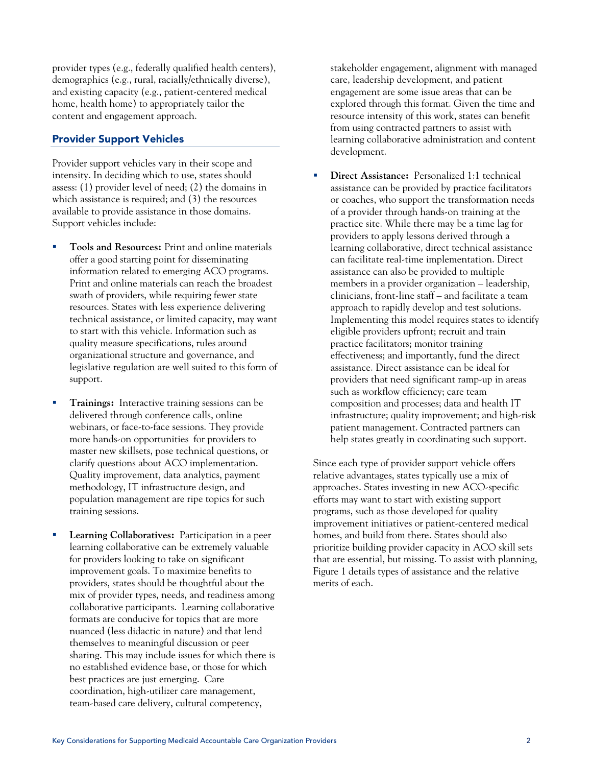provider types (e.g., federally qualified health centers), demographics (e.g., rural, racially/ethnically diverse), and existing capacity (e.g., patient-centered medical home, health home) to appropriately tailor the content and engagement approach.

# Provider Support Vehicles

Provider support vehicles vary in their scope and intensity. In deciding which to use, states should assess: (1) provider level of need; (2) the domains in which assistance is required; and (3) the resources available to provide assistance in those domains. Support vehicles include:

- **Tools and Resources:** Print and online materials offer a good starting point for disseminating information related to emerging ACO programs. Print and online materials can reach the broadest swath of providers, while requiring fewer state resources. States with less experience delivering technical assistance, or limited capacity, may want to start with this vehicle. Information such as quality measure specifications, rules around organizational structure and governance, and legislative regulation are well suited to this form of support.
- **Trainings:** Interactive training sessions can be delivered through conference calls, online webinars, or face-to-face sessions. They provide more hands-on opportunities for providers to master new skillsets, pose technical questions, or clarify questions about ACO implementation. Quality improvement, data analytics, payment methodology, IT infrastructure design, and population management are ripe topics for such training sessions.
- **Learning Collaboratives:** Participation in a peer learning collaborative can be extremely valuable for providers looking to take on significant improvement goals. To maximize benefits to providers, states should be thoughtful about the mix of provider types, needs, and readiness among collaborative participants. Learning collaborative formats are conducive for topics that are more nuanced (less didactic in nature) and that lend themselves to meaningful discussion or peer sharing. This may include issues for which there is no established evidence base, or those for which best practices are just emerging. Care coordination, high-utilizer care management, team-based care delivery, cultural competency,

stakeholder engagement, alignment with managed care, leadership development, and patient engagement are some issue areas that can be explored through this format. Given the time and resource intensity of this work, states can benefit from using contracted partners to assist with learning collaborative administration and content development.

 **Direct Assistance:** Personalized 1:1 technical assistance can be provided by practice facilitators or coaches, who support the transformation needs of a provider through hands-on training at the practice site. While there may be a time lag for providers to apply lessons derived through a learning collaborative, direct technical assistance can facilitate real-time implementation. Direct assistance can also be provided to multiple members in a provider organization – leadership, clinicians, front-line staff – and facilitate a team approach to rapidly develop and test solutions. Implementing this model requires states to identify eligible providers upfront; recruit and train practice facilitators; monitor training effectiveness; and importantly, fund the direct assistance. Direct assistance can be ideal for providers that need significant ramp-up in areas such as workflow efficiency; care team composition and processes; data and health IT infrastructure; quality improvement; and high-risk patient management. Contracted partners can help states greatly in coordinating such support.

Since each type of provider support vehicle offers relative advantages, states typically use a mix of approaches. States investing in new ACO-specific efforts may want to start with existing support programs, such as those developed for quality improvement initiatives or patient-centered medical homes, and build from there. States should also prioritize building provider capacity in ACO skill sets that are essential, but missing. To assist with planning, Figure 1 details types of assistance and the relative merits of each.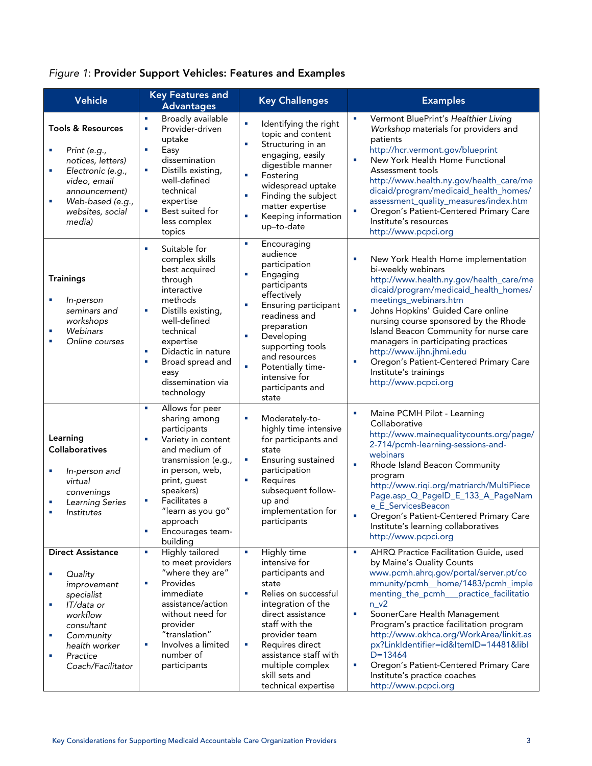# *Figure 1*: Provider Support Vehicles: Features and Examples

| Vehicle                                                                                                                                                                                       | <b>Key Features and</b>                                                                                                                                                                                                                                                  | <b>Key Challenges</b>                                                                                                                                                                                                                                                                       | <b>Examples</b>                                                                                                                                                                                                                                                                                                                                                                                                                                                                                           |
|-----------------------------------------------------------------------------------------------------------------------------------------------------------------------------------------------|--------------------------------------------------------------------------------------------------------------------------------------------------------------------------------------------------------------------------------------------------------------------------|---------------------------------------------------------------------------------------------------------------------------------------------------------------------------------------------------------------------------------------------------------------------------------------------|-----------------------------------------------------------------------------------------------------------------------------------------------------------------------------------------------------------------------------------------------------------------------------------------------------------------------------------------------------------------------------------------------------------------------------------------------------------------------------------------------------------|
|                                                                                                                                                                                               | <b>Advantages</b>                                                                                                                                                                                                                                                        |                                                                                                                                                                                                                                                                                             |                                                                                                                                                                                                                                                                                                                                                                                                                                                                                                           |
| <b>Tools &amp; Resources</b><br>Print (e.g.,<br>notices, letters)<br>Electronic (e.g.,<br>r.<br>video, email<br>announcement)<br>Web-based (e.g.,<br>×<br>websites, social<br>media)          | Broadly available<br>Ì.<br>Provider-driven<br>Ì.<br>uptake<br>Easy<br>×<br>dissemination<br>Distills existing,<br>r.<br>well-defined<br>technical<br>expertise<br>Best suited for<br>r.<br>less complex<br>topics                                                        | Identifying the right<br>r.<br>topic and content<br>Structuring in an<br>r.<br>engaging, easily<br>digestible manner<br>Fostering<br>٠<br>widespread uptake<br>Finding the subject<br>٠<br>matter expertise<br>Keeping information<br>×<br>up-to-date                                       | Vermont BluePrint's Healthier Living<br>Workshop materials for providers and<br>patients<br>http://hcr.vermont.gov/blueprint<br>à,<br>New York Health Home Functional<br>Assessment tools<br>http://www.health.ny.gov/health_care/me<br>dicaid/program/medicaid_health_homes/<br>assessment_quality_measures/index.htm<br>Oregon's Patient-Centered Primary Care<br>Ì,<br>Institute's resources<br>http://www.pcpci.org                                                                                   |
| <b>Trainings</b><br>In-person<br>r.<br>seminars and<br>workshops<br>Webinars<br>r.<br>Online courses<br>×                                                                                     | Suitable for<br>r.<br>complex skills<br>best acquired<br>through<br>interactive<br>methods<br>Distills existing,<br>r.<br>well-defined<br>technical<br>expertise<br>Didactic in nature<br>Ì.<br>Broad spread and<br>r.<br>easy<br>dissemination via<br>technology        | f,<br>Encouraging<br>audience<br>participation<br>Engaging<br>×<br>participants<br>effectively<br>Ensuring participant<br>×<br>readiness and<br>preparation<br>Developing<br>٠<br>supporting tools<br>and resources<br>Potentially time-<br>×<br>intensive for<br>participants and<br>state | New York Health Home implementation<br>r.<br>bi-weekly webinars<br>http://www.health.ny.gov/health_care/me<br>dicaid/program/medicaid_health_homes/<br>meetings_webinars.htm<br>à,<br>Johns Hopkins' Guided Care online<br>nursing course sponsored by the Rhode<br>Island Beacon Community for nurse care<br>managers in participating practices<br>http://www.ijhn.jhmi.edu<br>Oregon's Patient-Centered Primary Care<br>×<br>Institute's trainings<br>http://www.pcpci.org                             |
| Learning<br><b>Collaboratives</b><br>In-person and<br>virtual<br>convenings<br><b>Learning Series</b><br><b>Institutes</b>                                                                    | Allows for peer<br>Ì.<br>sharing among<br>participants<br>Variety in content<br>Ì,<br>and medium of<br>transmission (e.g.,<br>in person, web,<br>print, guest<br>speakers)<br>Facilitates a<br>r.<br>"learn as you go"<br>approach<br>Ì.<br>Encourages team-<br>building | Moderately-to-<br>n<br>highly time intensive<br>for participants and<br>state<br>Ensuring sustained<br>×<br>participation<br>Requires<br>F<br>subsequent follow-<br>up and<br>implementation for<br>participants                                                                            | Maine PCMH Pilot - Learning<br>×<br>Collaborative<br>http://www.mainequalitycounts.org/page/<br>2-714/pcmh-learning-sessions-and-<br>webinars<br>à,<br>Rhode Island Beacon Community<br>program<br>http://www.riqi.org/matriarch/MultiPiece<br>Page.asp_Q_PageID_E_133_A_PageNam<br>e_E_ServicesBeacon<br>Oregon's Patient-Centered Primary Care<br>r.<br>Institute's learning collaboratives<br>http://www.pcpci.org                                                                                     |
| <b>Direct Assistance</b><br>Quality<br>×<br>improvement<br>specialist<br>IT/data or<br>r.<br>workflow<br>consultant<br>Community<br>T,<br>health worker<br>Practice<br>٠<br>Coach/Facilitator | Highly tailored<br>×<br>to meet providers<br>"where they are"<br>Provides<br>r.<br>immediate<br>assistance/action<br>without need for<br>provider<br>"translation"<br>Involves a limited<br>r.<br>number of<br>participants                                              | Highly time<br>×<br>intensive for<br>participants and<br>state<br>Relies on successful<br>×<br>integration of the<br>direct assistance<br>staff with the<br>provider team<br>Requires direct<br>٠<br>assistance staff with<br>multiple complex<br>skill sets and<br>technical expertise     | AHRQ Practice Facilitation Guide, used<br>×<br>by Maine's Quality Counts<br>www.pcmh.ahrq.gov/portal/server.pt/co<br>mmunity/pcmh_home/1483/pcmh_imple<br>menting_the_pcmh___practice_facilitatio<br>$n_v^2$<br>r.<br>SoonerCare Health Management<br>Program's practice facilitation program<br>http://www.okhca.org/WorkArea/linkit.as<br>px?LinkIdentifier=id&ItemID=14481&libI<br>$D = 13464$<br>r.<br>Oregon's Patient-Centered Primary Care<br>Institute's practice coaches<br>http://www.pcpci.org |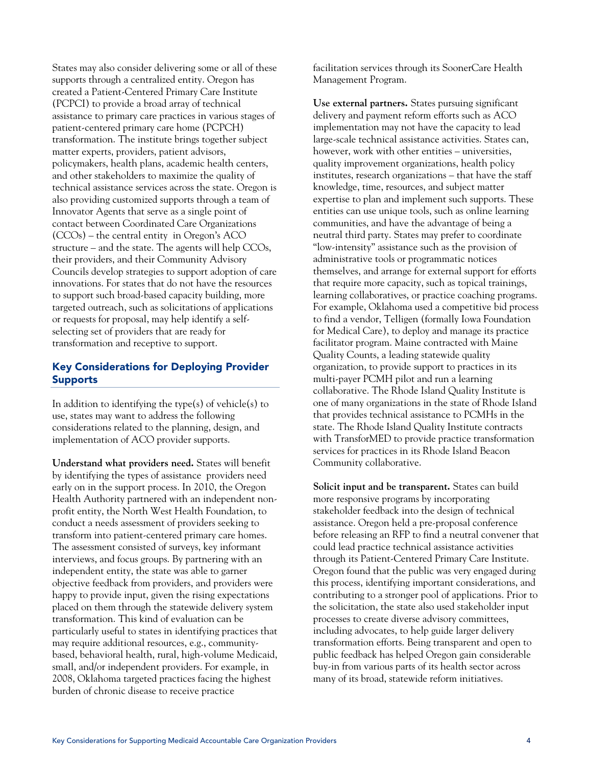States may also consider delivering some or all of these supports through a centralized entity. Oregon has created a Patient-Centered Primary Care Institute (PCPCI) to provide a broad array of technical assistance to primary care practices in various stages of patient-centered primary care home (PCPCH) transformation. The institute brings together subject matter experts, providers, patient advisors, policymakers, health plans, academic health centers, and other stakeholders to maximize the quality of technical assistance services across the state. Oregon is also providing customized supports through a team of Innovator Agents that serve as a single point of contact between Coordinated Care Organizations (CCOs) – the central entity in Oregon's ACO structure – and the state. The agents will help CCOs, their providers, and their Community Advisory Councils develop strategies to support adoption of care innovations. For states that do not have the resources to support such broad-based capacity building, more targeted outreach, such as solicitations of applications or requests for proposal, may help identify a selfselecting set of providers that are ready for transformation and receptive to support.

# Key Considerations for Deploying Provider Supports

In addition to identifying the type(s) of vehicle(s) to use, states may want to address the following considerations related to the planning, design, and implementation of ACO provider supports.

**Understand what providers need.** States will benefit by identifying the types of assistance providers need early on in the support process. In 2010, the Oregon Health Authority partnered with an independent nonprofit entity, the North West Health Foundation, to conduct a needs assessment of providers seeking to transform into patient-centered primary care homes. The assessment consisted of surveys, key informant interviews, and focus groups. By partnering with an independent entity, the state was able to garner objective feedback from providers, and providers were happy to provide input, given the rising expectations placed on them through the statewide delivery system transformation. This kind of evaluation can be particularly useful to states in identifying practices that may require additional resources, e.g., communitybased, behavioral health, rural, high-volume Medicaid, small, and/or independent providers. For example, in 2008, Oklahoma targeted practices facing the highest burden of chronic disease to receive practice

facilitation services through its SoonerCare Health Management Program.

**Use external partners.** States pursuing significant delivery and payment reform efforts such as ACO implementation may not have the capacity to lead large-scale technical assistance activities. States can, however, work with other entities – universities, quality improvement organizations, health policy institutes, research organizations – that have the staff knowledge, time, resources, and subject matter expertise to plan and implement such supports. These entities can use unique tools, such as online learning communities, and have the advantage of being a neutral third party. States may prefer to coordinate "low-intensity" assistance such as the provision of administrative tools or programmatic notices themselves, and arrange for external support for efforts that require more capacity, such as topical trainings, learning collaboratives, or practice coaching programs. For example, Oklahoma used a competitive bid process to find a vendor, Telligen (formally Iowa Foundation for Medical Care), to deploy and manage its practice facilitator program. Maine contracted with Maine Quality Counts, a leading statewide quality organization, to provide support to practices in its multi-payer PCMH pilot and run a learning collaborative. The Rhode Island Quality Institute is one of many organizations in the state of Rhode Island that provides technical assistance to PCMHs in the state. The Rhode Island Quality Institute contracts with TransforMED to provide practice transformation services for practices in its Rhode Island Beacon Community collaborative.

**Solicit input and be transparent.** States can build more responsive programs by incorporating stakeholder feedback into the design of technical assistance. Oregon held a pre-proposal conference before releasing an RFP to find a neutral convener that could lead practice technical assistance activities through its Patient-Centered Primary Care Institute. Oregon found that the public was very engaged during this process, identifying important considerations, and contributing to a stronger pool of applications. Prior to the solicitation, the state also used stakeholder input processes to create diverse advisory committees, including advocates, to help guide larger delivery transformation efforts. Being transparent and open to public feedback has helped Oregon gain considerable buy-in from various parts of its health sector across many of its broad, statewide reform initiatives.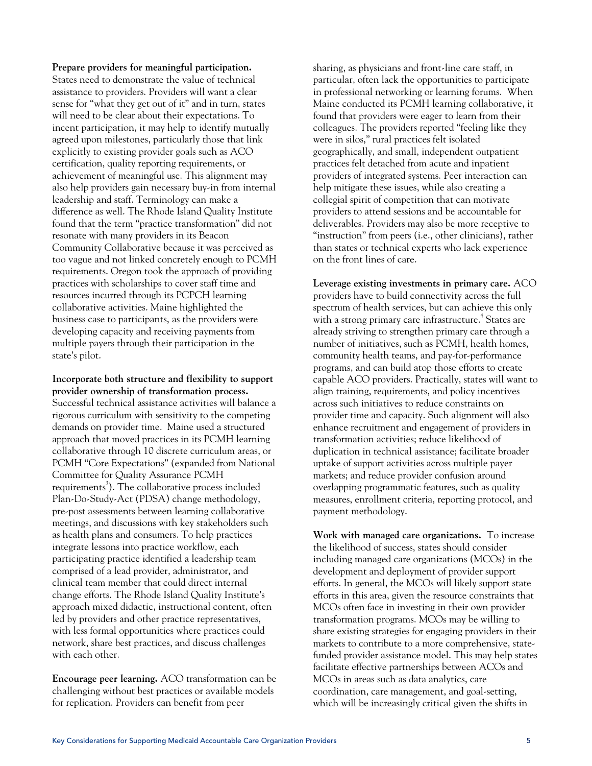**Prepare providers for meaningful participation.**  States need to demonstrate the value of technical assistance to providers. Providers will want a clear sense for "what they get out of it" and in turn, states will need to be clear about their expectations. To incent participation, it may help to identify mutually agreed upon milestones, particularly those that link explicitly to existing provider goals such as ACO certification, quality reporting requirements, or achievement of meaningful use. This alignment may also help providers gain necessary buy-in from internal leadership and staff. Terminology can make a difference as well. The Rhode Island Quality Institute found that the term "practice transformation" did not resonate with many providers in its Beacon Community Collaborative because it was perceived as too vague and not linked concretely enough to PCMH requirements. Oregon took the approach of providing practices with scholarships to cover staff time and resources incurred through its PCPCH learning collaborative activities. Maine highlighted the business case to participants, as the providers were developing capacity and receiving payments from multiple payers through their participation in the state's pilot.

**Incorporate both structure and flexibility to support provider ownership of transformation process.**  Successful technical assistance activities will balance a rigorous curriculum with sensitivity to the competing demands on provider time. Maine used a structured approach that moved practices in its PCMH learning collaborative through 10 discrete curriculum areas, or PCMH "Core Expectations" (expanded from National Committee for Quality Assurance PCMH requirements<sup>3</sup>). The collaborative process included Plan-Do-Study-Act (PDSA) change methodology, pre-post assessments between learning collaborative meetings, and discussions with key stakeholders such as health plans and consumers. To help practices integrate lessons into practice workflow, each participating practice identified a leadership team comprised of a lead provider, administrator, and clinical team member that could direct internal change efforts. The Rhode Island Quality Institute's approach mixed didactic, instructional content, often led by providers and other practice representatives, with less formal opportunities where practices could network, share best practices, and discuss challenges with each other.

**Encourage peer learning.** ACO transformation can be challenging without best practices or available models for replication. Providers can benefit from peer

sharing, as physicians and front-line care staff, in particular, often lack the opportunities to participate in professional networking or learning forums. When Maine conducted its PCMH learning collaborative, it found that providers were eager to learn from their colleagues. The providers reported "feeling like they were in silos," rural practices felt isolated geographically, and small, independent outpatient practices felt detached from acute and inpatient providers of integrated systems. Peer interaction can help mitigate these issues, while also creating a collegial spirit of competition that can motivate providers to attend sessions and be accountable for deliverables. Providers may also be more receptive to "instruction" from peers (i.e., other clinicians), rather than states or technical experts who lack experience on the front lines of care.

**Leverage existing investments in primary care.** ACO providers have to build connectivity across the full spectrum of health services, but can achieve this only with a strong primary care infrastructure.<sup>4</sup> States are already striving to strengthen primary care through a number of initiatives, such as PCMH, health homes, community health teams, and pay-for-performance programs, and can build atop those efforts to create capable ACO providers. Practically, states will want to align training, requirements, and policy incentives across such initiatives to reduce constraints on provider time and capacity. Such alignment will also enhance recruitment and engagement of providers in transformation activities; reduce likelihood of duplication in technical assistance; facilitate broader uptake of support activities across multiple payer markets; and reduce provider confusion around overlapping programmatic features, such as quality measures, enrollment criteria, reporting protocol, and payment methodology.

**Work with managed care organizations.** To increase the likelihood of success, states should consider including managed care organizations (MCOs) in the development and deployment of provider support efforts. In general, the MCOs will likely support state efforts in this area, given the resource constraints that MCOs often face in investing in their own provider transformation programs. MCOs may be willing to share existing strategies for engaging providers in their markets to contribute to a more comprehensive, statefunded provider assistance model. This may help states facilitate effective partnerships between ACOs and MCOs in areas such as data analytics, care coordination, care management, and goal-setting, which will be increasingly critical given the shifts in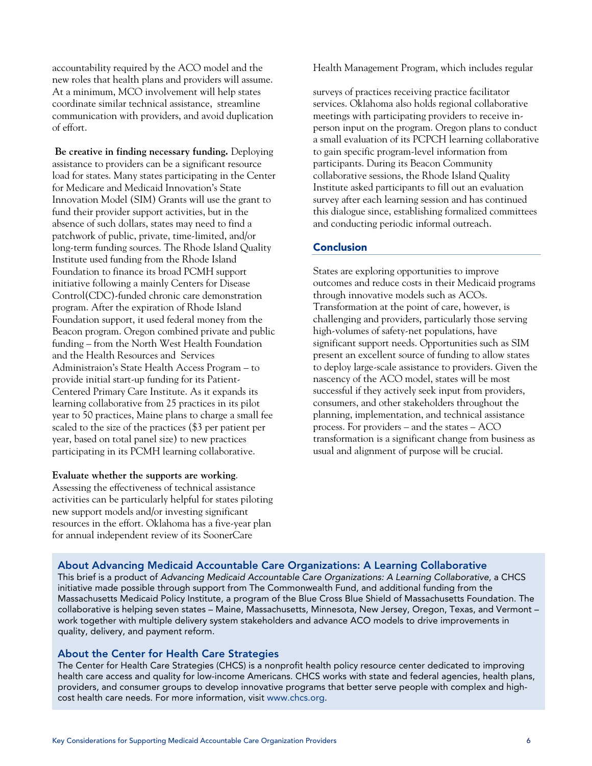accountability required by the ACO model and the new roles that health plans and providers will assume. At a minimum, MCO involvement will help states coordinate similar technical assistance, streamline communication with providers, and avoid duplication of effort.

 **Be creative in finding necessary funding.** Deploying assistance to providers can be a significant resource load for states. Many states participating in the Center for Medicare and Medicaid Innovation's State Innovation Model (SIM) Grants will use the grant to fund their provider support activities, but in the absence of such dollars, states may need to find a patchwork of public, private, time-limited, and/or long-term funding sources. The Rhode Island Quality Institute used funding from the Rhode Island Foundation to finance its broad PCMH support initiative following a mainly Centers for Disease Control(CDC)-funded chronic care demonstration program. After the expiration of Rhode Island Foundation support, it used federal money from the Beacon program. Oregon combined private and public funding – from the North West Health Foundation and the Health Resources and Services Administraion's State Health Access Program – to provide initial start-up funding for its Patient-Centered Primary Care Institute. As it expands its learning collaborative from 25 practices in its pilot year to 50 practices, Maine plans to charge a small fee scaled to the size of the practices (\$3 per patient per year, based on total panel size) to new practices participating in its PCMH learning collaborative.

## **Evaluate whether the supports are working**.

Assessing the effectiveness of technical assistance activities can be particularly helpful for states piloting new support models and/or investing significant resources in the effort. Oklahoma has a five-year plan for annual independent review of its SoonerCare

Health Management Program, which includes regular

surveys of practices receiving practice facilitator services. Oklahoma also holds regional collaborative meetings with participating providers to receive inperson input on the program. Oregon plans to conduct a small evaluation of its PCPCH learning collaborative to gain specific program-level information from participants. During its Beacon Community collaborative sessions, the Rhode Island Quality Institute asked participants to fill out an evaluation survey after each learning session and has continued this dialogue since, establishing formalized committees and conducting periodic informal outreach.

### Conclusion

States are exploring opportunities to improve outcomes and reduce costs in their Medicaid programs through innovative models such as ACOs. Transformation at the point of care, however, is challenging and providers, particularly those serving high-volumes of safety-net populations, have significant support needs. Opportunities such as SIM present an excellent source of funding to allow states to deploy large-scale assistance to providers. Given the nascency of the ACO model, states will be most successful if they actively seek input from providers, consumers, and other stakeholders throughout the planning, implementation, and technical assistance process. For providers – and the states – ACO transformation is a significant change from business as usual and alignment of purpose will be crucial.

## About Advancing Medicaid Accountable Care Organizations: A Learning Collaborative

This brief is a product of *Advancing Medicaid Accountable Care Organizations: A Learning Collaborative*, a CHCS initiative made possible through support from The Commonwealth Fund, and additional funding from the Massachusetts Medicaid Policy Institute, a program of the Blue Cross Blue Shield of Massachusetts Foundation. The collaborative is helping seven states – Maine, Massachusetts, Minnesota, New Jersey, Oregon, Texas, and Vermont – work together with multiple delivery system stakeholders and advance ACO models to drive improvements in quality, delivery, and payment reform.

## About the Center for Health Care Strategies

The Center for Health Care Strategies (CHCS) is a nonprofit health policy resource center dedicated to improving health care access and quality for low-income Americans. CHCS works with state and federal agencies, health plans, providers, and consumer groups to develop innovative programs that better serve people with complex and highcost health care needs. For more information, visit www.chcs.org.